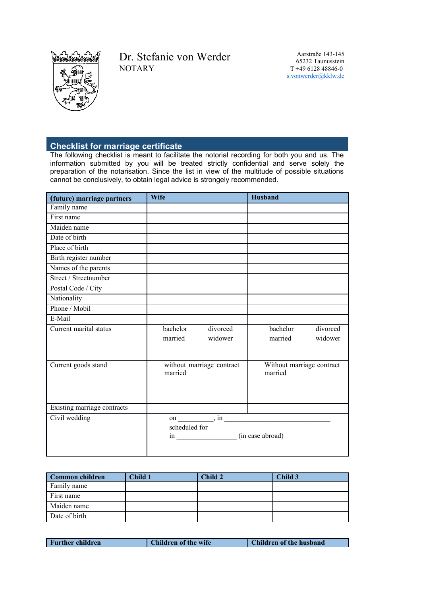

## Dr. Stefanie von Werder **NOTARY**

Aarstraße 143-145 65232 Taunusstein T +49 6128 48846-0 [s.vonwerder@kklw.de](mailto:s.vonwerder@kklw.de)

## **Checklist for marriage certificate**

The following checklist is meant to facilitate the notorial recording for both you and us. The information submitted by you will be treated strictly confidential and serve solely the preparation of the notarisation. Since the list in view of the multitude of possible situations cannot be conclusively, to obtain legal advice is strongely recommended.

| (future) marriage partners  | <b>Wife</b>                                                                                                                                                                                                                                                                                                                                                                                                                                                 | <b>Husband</b>                                      |
|-----------------------------|-------------------------------------------------------------------------------------------------------------------------------------------------------------------------------------------------------------------------------------------------------------------------------------------------------------------------------------------------------------------------------------------------------------------------------------------------------------|-----------------------------------------------------|
| Family name                 |                                                                                                                                                                                                                                                                                                                                                                                                                                                             |                                                     |
| First name                  |                                                                                                                                                                                                                                                                                                                                                                                                                                                             |                                                     |
| Maiden name                 |                                                                                                                                                                                                                                                                                                                                                                                                                                                             |                                                     |
| Date of birth               |                                                                                                                                                                                                                                                                                                                                                                                                                                                             |                                                     |
| Place of birth              |                                                                                                                                                                                                                                                                                                                                                                                                                                                             |                                                     |
| Birth register number       |                                                                                                                                                                                                                                                                                                                                                                                                                                                             |                                                     |
| Names of the parents        |                                                                                                                                                                                                                                                                                                                                                                                                                                                             |                                                     |
| Street / Streetnumber       |                                                                                                                                                                                                                                                                                                                                                                                                                                                             |                                                     |
| Postal Code / City          |                                                                                                                                                                                                                                                                                                                                                                                                                                                             |                                                     |
| Nationality                 |                                                                                                                                                                                                                                                                                                                                                                                                                                                             |                                                     |
| Phone / Mobil               |                                                                                                                                                                                                                                                                                                                                                                                                                                                             |                                                     |
| E-Mail                      |                                                                                                                                                                                                                                                                                                                                                                                                                                                             |                                                     |
| Current marital status      | divorced<br>bachelor<br>widower<br>married                                                                                                                                                                                                                                                                                                                                                                                                                  | divorced<br>bachelor<br>widower<br>married          |
| Current goods stand         | without marriage contract<br>married                                                                                                                                                                                                                                                                                                                                                                                                                        | Without marriage contract<br>married                |
| Existing marriage contracts |                                                                                                                                                                                                                                                                                                                                                                                                                                                             |                                                     |
| Civil wedding               | $\begin{tabular}{l} schedued for \begin{tabular}{l} \hline \rule{0pt}{3ex} \rule{0pt}{3ex} \rule{0pt}{3ex} \rule{0pt}{3ex} \rule{0pt}{3ex} \end{tabular} \end{tabular} \end{tabular} \end{tabular} \begin{tabular}{l} \hline \rule{0pt}{3ex} \rule{0pt}{3ex} \rule{0pt}{3ex} \rule{0pt}{3ex} \rule{0pt}{3ex} \end{tabular} \end{tabular} \begin{tabular}{l} \hline \rule{0pt}{3ex} \rule{0pt}{3ex} \rule{0pt}{3ex} \rule{0pt}{3ex} \rule{0pt}{3ex} \rule{0$ | on $\frac{1}{\sqrt{1-\frac{1}{2}}\sin \frac{1}{2}}$ |

| Common children | Child 1 | Child 2 | Child 3 |
|-----------------|---------|---------|---------|
| Family name     |         |         |         |
| First name      |         |         |         |
| Maiden name     |         |         |         |
| Date of birth   |         |         |         |

| <b>Further children</b> | <b>Children of the wife</b> | Children of the husband |
|-------------------------|-----------------------------|-------------------------|
|                         |                             |                         |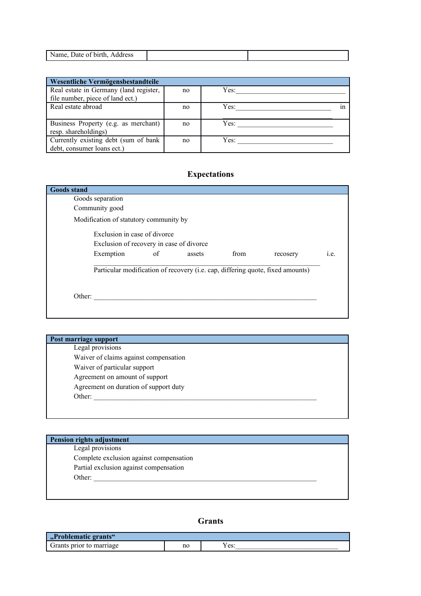| دە ب |  |
|------|--|

| Wesentliche Vermögensbestandteile      |    |      |  |  |
|----------------------------------------|----|------|--|--|
| Real estate in Germany (land register, | no | Yes: |  |  |
| file number, piece of land ect.)       |    |      |  |  |
| Real estate abroad                     | no | Yes: |  |  |
|                                        |    |      |  |  |
| Business Property (e.g. as merchant)   | no | Yes: |  |  |
| resp. shareholdings)                   |    |      |  |  |
| Currently existing debt (sum of bank   | no | Yes: |  |  |
| debt, consumer loans ect.)             |    |      |  |  |

## **Expectations**

| <b>Goods stand</b> |                                          |    |        |      |                                                                                |      |
|--------------------|------------------------------------------|----|--------|------|--------------------------------------------------------------------------------|------|
|                    | Goods separation                         |    |        |      |                                                                                |      |
|                    | Community good                           |    |        |      |                                                                                |      |
|                    | Modification of statutory community by   |    |        |      |                                                                                |      |
|                    | Exclusion in case of divorce             |    |        |      |                                                                                |      |
|                    | Exclusion of recovery in case of divorce |    |        |      |                                                                                |      |
|                    | Exemption                                | of | assets | from | recosery                                                                       | i.e. |
|                    |                                          |    |        |      | Particular modification of recovery (i.e. cap, differing quote, fixed amounts) |      |
| Other:             |                                          |    |        |      |                                                                                |      |
|                    |                                          |    |        |      |                                                                                |      |

| <b>Post marriage support</b>          |  |
|---------------------------------------|--|
| Legal provisions                      |  |
| Waiver of claims against compensation |  |
| Waiver of particular support          |  |
| Agreement on amount of support        |  |
| Agreement on duration of support duty |  |
| Other:                                |  |

| Pension rights adjustment | Legal provisions                        |
|---------------------------|-----------------------------------------|
|                           | Complete exclusion against compensation |
|                           | Partial exclusion against compensation  |
| Other:                    |                                         |

**Grants**

| , Problematic grants".<br><b>SAL</b> |    |                             |
|--------------------------------------|----|-----------------------------|
| Grants<br>prior<br>marriage          | no | $\alpha$ $\alpha$<br>1 U.S. |